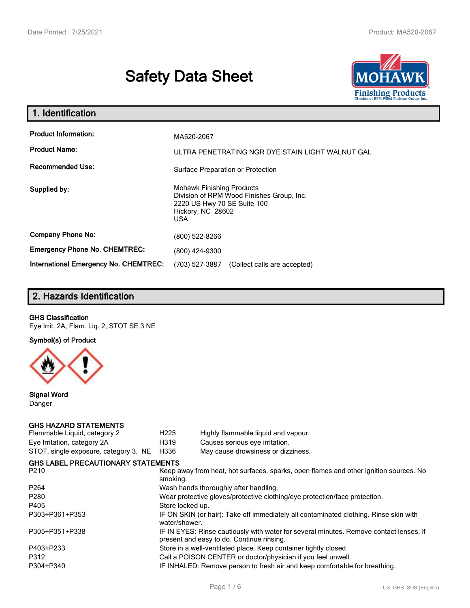# **Safety Data Sheet**



| 1. Identification                                                              |                                                                                                                                                 |  |  |  |
|--------------------------------------------------------------------------------|-------------------------------------------------------------------------------------------------------------------------------------------------|--|--|--|
| <b>Product Information:</b><br><b>Product Name:</b><br><b>Recommended Use:</b> | MA520-2067<br>ULTRA PENETRATING NGR DYE STAIN LIGHT WALNUT GAL                                                                                  |  |  |  |
|                                                                                | Surface Preparation or Protection                                                                                                               |  |  |  |
| Supplied by:                                                                   | <b>Mohawk Finishing Products</b><br>Division of RPM Wood Finishes Group, Inc.<br>2220 US Hwy 70 SE Suite 100<br>Hickory, NC 28602<br><b>USA</b> |  |  |  |
| <b>Company Phone No:</b>                                                       | (800) 522-8266                                                                                                                                  |  |  |  |
| <b>Emergency Phone No. CHEMTREC:</b>                                           | (800) 424-9300                                                                                                                                  |  |  |  |
| <b>International Emergency No. CHEMTREC:</b>                                   | (703) 527-3887<br>(Collect calls are accepted)                                                                                                  |  |  |  |

# **2. Hazards Identification**

## **GHS Classification**

Eye Irrit. 2A, Flam. Liq. 2, STOT SE 3 NE

**Symbol(s) of Product**



**Signal Word** Danger

#### **GHS HAZARD STATEMENTS**

| H <sub>225</sub>                                                                                  | Highly flammable liquid and vapour.                                                                                                 |  |  |
|---------------------------------------------------------------------------------------------------|-------------------------------------------------------------------------------------------------------------------------------------|--|--|
| H319                                                                                              | Causes serious eye irritation.                                                                                                      |  |  |
| H336                                                                                              | May cause drowsiness or dizziness.                                                                                                  |  |  |
|                                                                                                   |                                                                                                                                     |  |  |
| Keep away from heat, hot surfaces, sparks, open flames and other ignition sources. No<br>smoking. |                                                                                                                                     |  |  |
|                                                                                                   | Wash hands thoroughly after handling.                                                                                               |  |  |
| Wear protective gloves/protective clothing/eye protection/face protection.                        |                                                                                                                                     |  |  |
| Store locked up.                                                                                  |                                                                                                                                     |  |  |
| water/shower.                                                                                     | IF ON SKIN (or hair): Take off immediately all contaminated clothing. Rinse skin with                                               |  |  |
|                                                                                                   | IF IN EYES: Rinse cautiously with water for several minutes. Remove contact lenses, if<br>present and easy to do. Continue rinsing. |  |  |
|                                                                                                   | Store in a well-ventilated place. Keep container tightly closed.                                                                    |  |  |
|                                                                                                   | Call a POISON CENTER or doctor/physician if you feel unwell.                                                                        |  |  |
|                                                                                                   | IF INHALED: Remove person to fresh air and keep comfortable for breathing.                                                          |  |  |
|                                                                                                   | <b>GHS LABEL PRECAUTIONARY STATEMENTS</b>                                                                                           |  |  |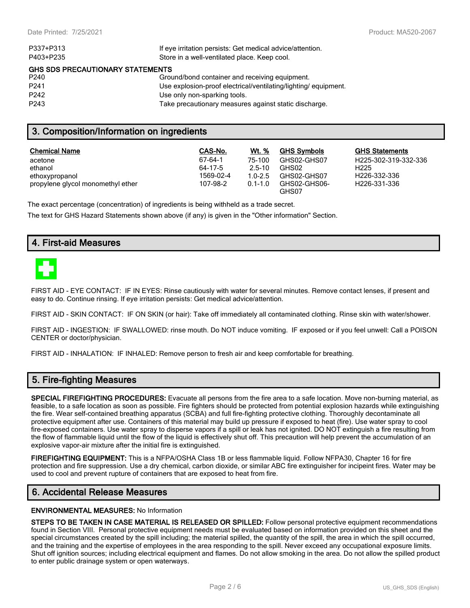| If eye irritation persists: Get medical advice/attention.      |
|----------------------------------------------------------------|
| Store in a well-ventilated place. Keep cool.                   |
| <b>GHS SDS PRECAUTIONARY STATEMENTS</b>                        |
| Ground/bond container and receiving equipment.                 |
| Use explosion-proof electrical/ventilating/lighting/equipment. |
| Use only non-sparking tools.                                   |
| Take precautionary measures against static discharge.          |
|                                                                |

## **3. Composition/Information on ingredients**

| <b>Chemical Name</b>              | CAS-No.   | Wt. %       | <b>GHS Symbols</b>    | <b>GHS Statements</b>     |
|-----------------------------------|-----------|-------------|-----------------------|---------------------------|
| acetone                           | 67-64-1   | 75-100      | GHS02-GHS07           | H225-302-319-332-336      |
| ethanol                           | 64-17-5   | $25-10$     | GHS02                 | H <sub>225</sub>          |
| ethoxypropanol                    | 1569-02-4 | $1.0 - 2.5$ | GHS02-GHS07           | H <sub>226</sub> -332-336 |
| propylene glycol monomethyl ether | 107-98-2  | $0.1 - 1.0$ | GHS02-GHS06-<br>GHS07 | H226-331-336              |

The exact percentage (concentration) of ingredients is being withheld as a trade secret.

The text for GHS Hazard Statements shown above (if any) is given in the "Other information" Section.

## **4. First-aid Measures**



FIRST AID - EYE CONTACT: IF IN EYES: Rinse cautiously with water for several minutes. Remove contact lenses, if present and easy to do. Continue rinsing. If eye irritation persists: Get medical advice/attention.

FIRST AID - SKIN CONTACT: IF ON SKIN (or hair): Take off immediately all contaminated clothing. Rinse skin with water/shower.

FIRST AID - INGESTION: IF SWALLOWED: rinse mouth. Do NOT induce vomiting. IF exposed or if you feel unwell: Call a POISON CENTER or doctor/physician.

FIRST AID - INHALATION: IF INHALED: Remove person to fresh air and keep comfortable for breathing.

## **5. Fire-fighting Measures**

**SPECIAL FIREFIGHTING PROCEDURES:** Evacuate all persons from the fire area to a safe location. Move non-burning material, as feasible, to a safe location as soon as possible. Fire fighters should be protected from potential explosion hazards while extinguishing the fire. Wear self-contained breathing apparatus (SCBA) and full fire-fighting protective clothing. Thoroughly decontaminate all protective equipment after use. Containers of this material may build up pressure if exposed to heat (fire). Use water spray to cool fire-exposed containers. Use water spray to disperse vapors if a spill or leak has not ignited. DO NOT extinguish a fire resulting from the flow of flammable liquid until the flow of the liquid is effectively shut off. This precaution will help prevent the accumulation of an explosive vapor-air mixture after the initial fire is extinguished.

**FIREFIGHTING EQUIPMENT:** This is a NFPA/OSHA Class 1B or less flammable liquid. Follow NFPA30, Chapter 16 for fire protection and fire suppression. Use a dry chemical, carbon dioxide, or similar ABC fire extinguisher for incipeint fires. Water may be used to cool and prevent rupture of containers that are exposed to heat from fire.

## **6. Accidental Release Measures**

#### **ENVIRONMENTAL MEASURES:** No Information

**STEPS TO BE TAKEN IN CASE MATERIAL IS RELEASED OR SPILLED:** Follow personal protective equipment recommendations found in Section VIII. Personal protective equipment needs must be evaluated based on information provided on this sheet and the special circumstances created by the spill including; the material spilled, the quantity of the spill, the area in which the spill occurred, and the training and the expertise of employees in the area responding to the spill. Never exceed any occupational exposure limits. Shut off ignition sources; including electrical equipment and flames. Do not allow smoking in the area. Do not allow the spilled product to enter public drainage system or open waterways.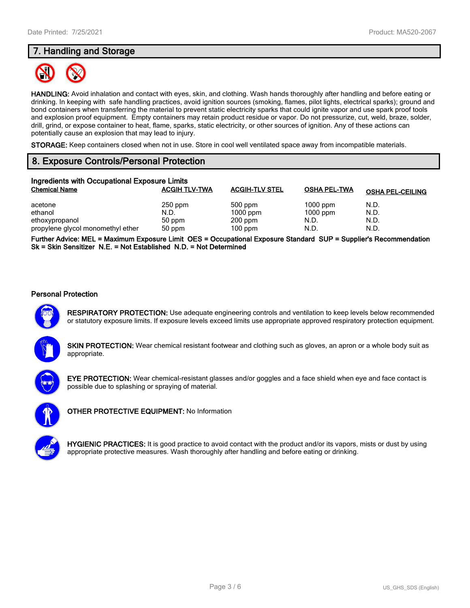# **7. Handling and Storage**



**HANDLING:** Avoid inhalation and contact with eyes, skin, and clothing. Wash hands thoroughly after handling and before eating or drinking. In keeping with safe handling practices, avoid ignition sources (smoking, flames, pilot lights, electrical sparks); ground and bond containers when transferring the material to prevent static electricity sparks that could ignite vapor and use spark proof tools and explosion proof equipment. Empty containers may retain product residue or vapor. Do not pressurize, cut, weld, braze, solder, drill, grind, or expose container to heat, flame, sparks, static electricity, or other sources of ignition. Any of these actions can potentially cause an explosion that may lead to injury.

**STORAGE:** Keep containers closed when not in use. Store in cool well ventilated space away from incompatible materials.

# **8. Exposure Controls/Personal Protection**

| Ingredients with Occupational Exposure Limits |                      |                       |                     |                         |  |  |
|-----------------------------------------------|----------------------|-----------------------|---------------------|-------------------------|--|--|
| <b>Chemical Name</b>                          | <b>ACGIH TLV-TWA</b> | <b>ACGIH-TLV STEL</b> | <b>OSHA PEL-TWA</b> | <b>OSHA PEL-CEILING</b> |  |  |
| acetone                                       | $250$ ppm            | 500 ppm               | $1000$ ppm          | N.D.                    |  |  |
| ethanol                                       | N.D.                 | $1000$ ppm            | $1000$ ppm          | N.D.                    |  |  |
| ethoxypropanol                                | 50 ppm               | $200$ ppm             | N.D.                | N.D.                    |  |  |
| propylene glycol monomethyl ether             | 50 ppm               | $100$ ppm             | N.D.                | N.D.                    |  |  |

**Further Advice: MEL = Maximum Exposure Limit OES = Occupational Exposure Standard SUP = Supplier's Recommendation Sk = Skin Sensitizer N.E. = Not Established N.D. = Not Determined**

## **Personal Protection**



**RESPIRATORY PROTECTION:** Use adequate engineering controls and ventilation to keep levels below recommended or statutory exposure limits. If exposure levels exceed limits use appropriate approved respiratory protection equipment.

**SKIN PROTECTION:** Wear chemical resistant footwear and clothing such as gloves, an apron or a whole body suit as appropriate.



**EYE PROTECTION:** Wear chemical-resistant glasses and/or goggles and a face shield when eye and face contact is possible due to splashing or spraying of material.



**OTHER PROTECTIVE EQUIPMENT:** No Information



**HYGIENIC PRACTICES:** It is good practice to avoid contact with the product and/or its vapors, mists or dust by using appropriate protective measures. Wash thoroughly after handling and before eating or drinking.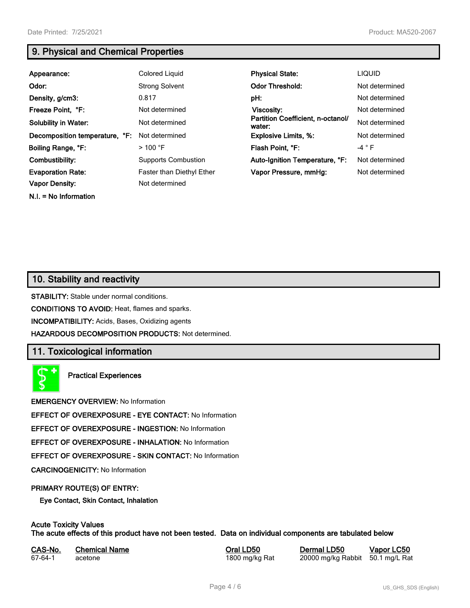**N.I. = No Information**

# **9. Physical and Chemical Properties**

| Appearance:                    | Colored Liquid                   | <b>Physical State:</b>                      | <b>LIQUID</b>  |
|--------------------------------|----------------------------------|---------------------------------------------|----------------|
| Odor:                          | <b>Strong Solvent</b>            | <b>Odor Threshold:</b>                      | Not determined |
| Density, g/cm3:                | 0.817                            | pH:                                         | Not determined |
| Freeze Point, °F:              | Not determined                   | Viscosity:                                  | Not determined |
| <b>Solubility in Water:</b>    | Not determined                   | Partition Coefficient, n-octanol/<br>water: | Not determined |
| Decomposition temperature, °F: | Not determined                   | <b>Explosive Limits, %:</b>                 | Not determined |
| Boiling Range, °F:             | $>$ 100 °F                       | Flash Point, °F:                            | $-4 ° F$       |
| Combustibility:                | <b>Supports Combustion</b>       | Auto-Ignition Temperature, °F:              | Not determined |
| <b>Evaporation Rate:</b>       | <b>Faster than Diethyl Ether</b> | Vapor Pressure, mmHg:                       | Not determined |
| <b>Vapor Density:</b>          | Not determined                   |                                             |                |

# **10. Stability and reactivity**

**STABILITY:** Stable under normal conditions.

**CONDITIONS TO AVOID:** Heat, flames and sparks.

**INCOMPATIBILITY:** Acids, Bases, Oxidizing agents

**HAZARDOUS DECOMPOSITION PRODUCTS:** Not determined.

# **11. Toxicological information**

**Practical Experiences**

**EMERGENCY OVERVIEW:** No Information

**EFFECT OF OVEREXPOSURE - EYE CONTACT:** No Information

**EFFECT OF OVEREXPOSURE - INGESTION:** No Information

**EFFECT OF OVEREXPOSURE - INHALATION:** No Information

**EFFECT OF OVEREXPOSURE - SKIN CONTACT:** No Information

**CARCINOGENICITY:** No Information

#### **PRIMARY ROUTE(S) OF ENTRY:**

**Eye Contact, Skin Contact, Inhalation**

# **Acute Toxicity Values**

**The acute effects of this product have not been tested. Data on individual components are tabulated below**

| CAS-No. | <b>Chemical Name</b> |
|---------|----------------------|
| 67-64-1 | acetone              |

**Casary Chemical Chemical LD50 Chemical LD50 Vapor LC50** 1800 mg/kg Rat 20000 mg/kg Rabbit 50.1 mg/L Rat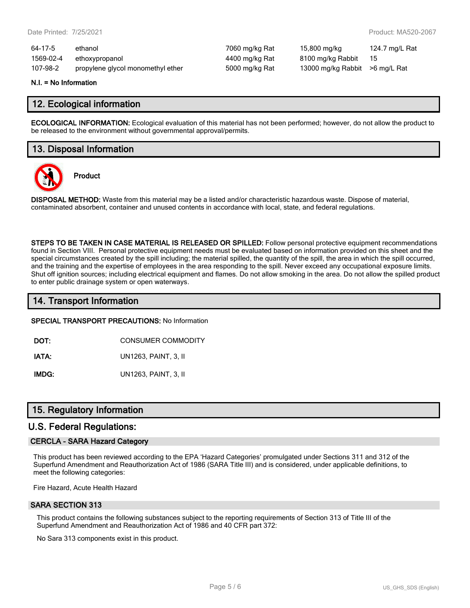| 64-17-5   | ethanol                           | 7060 mg/kg Rat | 15,800 mg/kg                   | 124.7 mg/L Rat |
|-----------|-----------------------------------|----------------|--------------------------------|----------------|
| 1569-02-4 | ethoxypropanol                    | 4400 mg/kg Rat | 8100 mg/kg Rabbit              | - 15           |
| 107-98-2  | propylene glycol monomethyl ether | 5000 mg/kg Rat | 13000 mg/kg Rabbit >6 mg/L Rat |                |

#### **N.I. = No Information**

## **12. Ecological information**

**ECOLOGICAL INFORMATION:** Ecological evaluation of this material has not been performed; however, do not allow the product to be released to the environment without governmental approval/permits.

## **13. Disposal Information**



**Product**

**DISPOSAL METHOD:** Waste from this material may be a listed and/or characteristic hazardous waste. Dispose of material, contaminated absorbent, container and unused contents in accordance with local, state, and federal regulations.

**STEPS TO BE TAKEN IN CASE MATERIAL IS RELEASED OR SPILLED:** Follow personal protective equipment recommendations found in Section VIII. Personal protective equipment needs must be evaluated based on information provided on this sheet and the special circumstances created by the spill including; the material spilled, the quantity of the spill, the area in which the spill occurred, and the training and the expertise of employees in the area responding to the spill. Never exceed any occupational exposure limits. Shut off ignition sources; including electrical equipment and flames. Do not allow smoking in the area. Do not allow the spilled product to enter public drainage system or open waterways.

## **14. Transport Information**

#### **SPECIAL TRANSPORT PRECAUTIONS:** No Information

**DOT:** CONSUMER COMMODITY

**IATA:** UN1263, PAINT, 3, II

**IMDG:** UN1263, PAINT, 3, II

## **15. Regulatory Information**

## **U.S. Federal Regulations:**

#### **CERCLA - SARA Hazard Category**

This product has been reviewed according to the EPA 'Hazard Categories' promulgated under Sections 311 and 312 of the Superfund Amendment and Reauthorization Act of 1986 (SARA Title III) and is considered, under applicable definitions, to meet the following categories:

Fire Hazard, Acute Health Hazard

#### **SARA SECTION 313**

This product contains the following substances subject to the reporting requirements of Section 313 of Title III of the Superfund Amendment and Reauthorization Act of 1986 and 40 CFR part 372:

No Sara 313 components exist in this product.